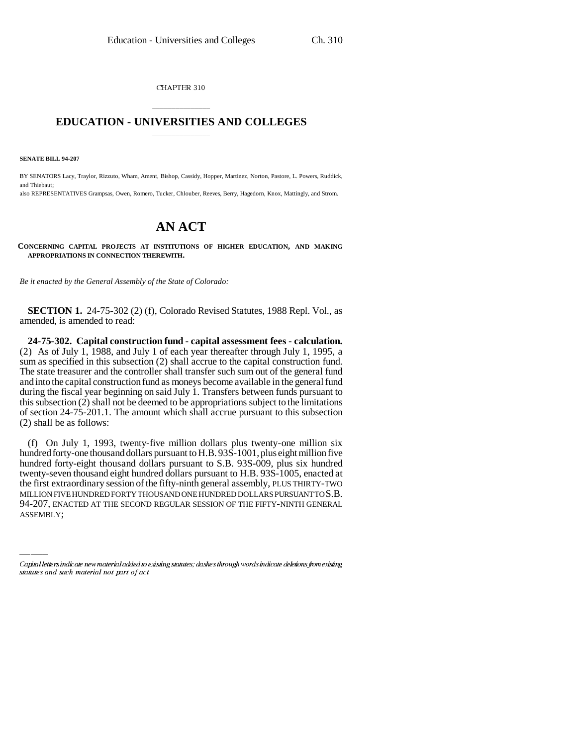CHAPTER 310

## \_\_\_\_\_\_\_\_\_\_\_\_\_\_\_ **EDUCATION - UNIVERSITIES AND COLLEGES** \_\_\_\_\_\_\_\_\_\_\_\_\_\_\_

**SENATE BILL 94-207**

BY SENATORS Lacy, Traylor, Rizzuto, Wham, Ament, Bishop, Cassidy, Hopper, Martinez, Norton, Pastore, L. Powers, Ruddick, and Thiebaut; also REPRESENTATIVES Grampsas, Owen, Romero, Tucker, Chlouber, Reeves, Berry, Hagedorn, Knox, Mattingly, and Strom.

## **AN ACT**

**CONCERNING CAPITAL PROJECTS AT INSTITUTIONS OF HIGHER EDUCATION, AND MAKING APPROPRIATIONS IN CONNECTION THEREWITH.**

*Be it enacted by the General Assembly of the State of Colorado:*

**SECTION 1.** 24-75-302 (2) (f), Colorado Revised Statutes, 1988 Repl. Vol., as amended, is amended to read:

**24-75-302. Capital construction fund - capital assessment fees - calculation.** (2) As of July 1, 1988, and July 1 of each year thereafter through July 1, 1995, a sum as specified in this subsection (2) shall accrue to the capital construction fund. The state treasurer and the controller shall transfer such sum out of the general fund and into the capital construction fund as moneys become available in the general fund during the fiscal year beginning on said July 1. Transfers between funds pursuant to this subsection (2) shall not be deemed to be appropriations subject to the limitations of section 24-75-201.1. The amount which shall accrue pursuant to this subsection (2) shall be as follows:

the first extraordinary session of the fifty-ninth general assembly, PLUS THIRTY-TWO (f) On July 1, 1993, twenty-five million dollars plus twenty-one million six hundred forty-one thousand dollars pursuant to H.B. 93S-1001, plus eight million five hundred forty-eight thousand dollars pursuant to S.B. 93S-009, plus six hundred twenty-seven thousand eight hundred dollars pursuant to H.B. 93S-1005, enacted at MILLION FIVE HUNDRED FORTY THOUSAND ONE HUNDRED DOLLARS PURSUANT TO S.B. 94-207, ENACTED AT THE SECOND REGULAR SESSION OF THE FIFTY-NINTH GENERAL ASSEMBLY;

Capital letters indicate new material added to existing statutes; dashes through words indicate deletions from existing statutes and such material not part of act.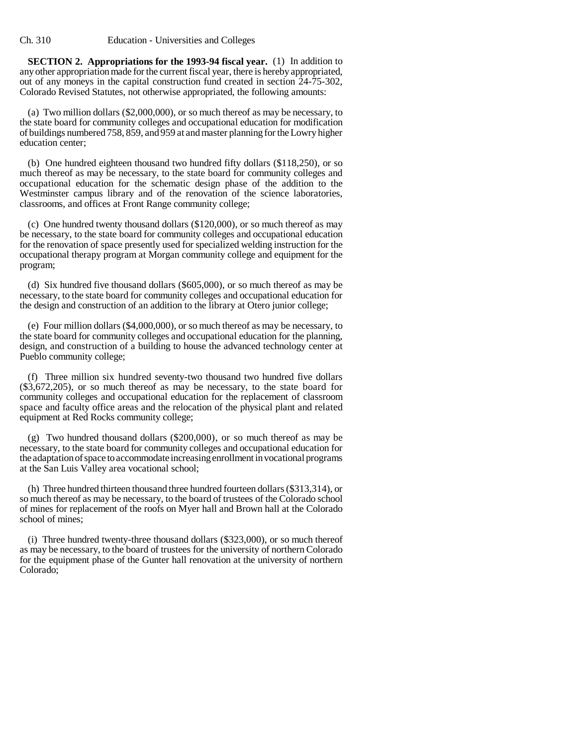**SECTION 2. Appropriations for the 1993-94 fiscal year.** (1) In addition to any other appropriation made for the current fiscal year, there is hereby appropriated, out of any moneys in the capital construction fund created in section 24-75-302, Colorado Revised Statutes, not otherwise appropriated, the following amounts:

(a) Two million dollars (\$2,000,000), or so much thereof as may be necessary, to the state board for community colleges and occupational education for modification of buildings numbered 758, 859, and 959 at and master planning for the Lowry higher education center;

(b) One hundred eighteen thousand two hundred fifty dollars (\$118,250), or so much thereof as may be necessary, to the state board for community colleges and occupational education for the schematic design phase of the addition to the Westminster campus library and of the renovation of the science laboratories, classrooms, and offices at Front Range community college;

(c) One hundred twenty thousand dollars (\$120,000), or so much thereof as may be necessary, to the state board for community colleges and occupational education for the renovation of space presently used for specialized welding instruction for the occupational therapy program at Morgan community college and equipment for the program;

(d) Six hundred five thousand dollars (\$605,000), or so much thereof as may be necessary, to the state board for community colleges and occupational education for the design and construction of an addition to the library at Otero junior college;

(e) Four million dollars (\$4,000,000), or so much thereof as may be necessary, to the state board for community colleges and occupational education for the planning, design, and construction of a building to house the advanced technology center at Pueblo community college;

(f) Three million six hundred seventy-two thousand two hundred five dollars (\$3,672,205), or so much thereof as may be necessary, to the state board for community colleges and occupational education for the replacement of classroom space and faculty office areas and the relocation of the physical plant and related equipment at Red Rocks community college;

(g) Two hundred thousand dollars (\$200,000), or so much thereof as may be necessary, to the state board for community colleges and occupational education for the adaptation of space to accommodate increasing enrollment in vocational programs at the San Luis Valley area vocational school;

(h) Three hundred thirteen thousand three hundred fourteen dollars (\$313,314), or so much thereof as may be necessary, to the board of trustees of the Colorado school of mines for replacement of the roofs on Myer hall and Brown hall at the Colorado school of mines;

(i) Three hundred twenty-three thousand dollars (\$323,000), or so much thereof as may be necessary, to the board of trustees for the university of northern Colorado for the equipment phase of the Gunter hall renovation at the university of northern Colorado;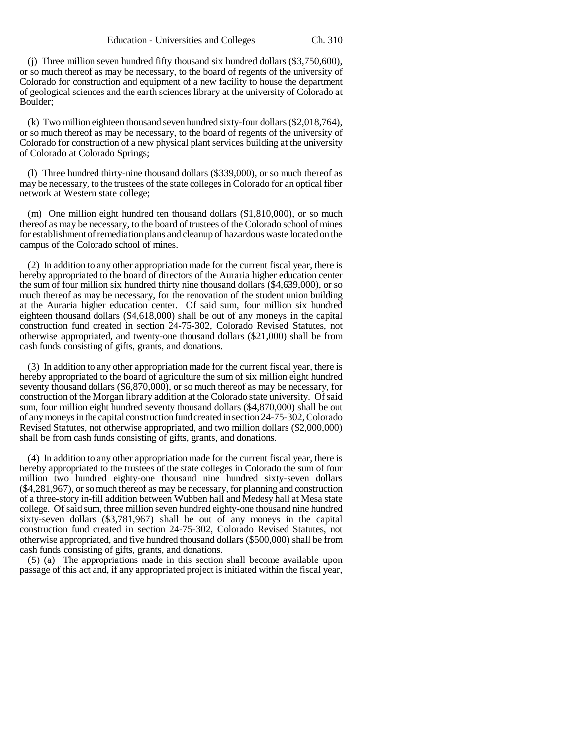(j) Three million seven hundred fifty thousand six hundred dollars (\$3,750,600), or so much thereof as may be necessary, to the board of regents of the university of Colorado for construction and equipment of a new facility to house the department of geological sciences and the earth sciences library at the university of Colorado at Boulder;

(k) Two million eighteen thousand seven hundred sixty-four dollars (\$2,018,764), or so much thereof as may be necessary, to the board of regents of the university of Colorado for construction of a new physical plant services building at the university of Colorado at Colorado Springs;

(l) Three hundred thirty-nine thousand dollars (\$339,000), or so much thereof as may be necessary, to the trustees of the state colleges in Colorado for an optical fiber network at Western state college;

(m) One million eight hundred ten thousand dollars (\$1,810,000), or so much thereof as may be necessary, to the board of trustees of the Colorado school of mines for establishment of remediation plans and cleanup of hazardous waste located on the campus of the Colorado school of mines.

(2) In addition to any other appropriation made for the current fiscal year, there is hereby appropriated to the board of directors of the Auraria higher education center the sum of four million six hundred thirty nine thousand dollars (\$4,639,000), or so much thereof as may be necessary, for the renovation of the student union building at the Auraria higher education center. Of said sum, four million six hundred eighteen thousand dollars (\$4,618,000) shall be out of any moneys in the capital construction fund created in section 24-75-302, Colorado Revised Statutes, not otherwise appropriated, and twenty-one thousand dollars (\$21,000) shall be from cash funds consisting of gifts, grants, and donations.

(3) In addition to any other appropriation made for the current fiscal year, there is hereby appropriated to the board of agriculture the sum of six million eight hundred seventy thousand dollars (\$6,870,000), or so much thereof as may be necessary, for construction of the Morgan library addition at the Colorado state university. Of said sum, four million eight hundred seventy thousand dollars (\$4,870,000) shall be out of any moneys in the capital construction fund created in section 24-75-302, Colorado Revised Statutes, not otherwise appropriated, and two million dollars (\$2,000,000) shall be from cash funds consisting of gifts, grants, and donations.

(4) In addition to any other appropriation made for the current fiscal year, there is hereby appropriated to the trustees of the state colleges in Colorado the sum of four million two hundred eighty-one thousand nine hundred sixty-seven dollars (\$4,281,967), or so much thereof as may be necessary, for planning and construction of a three-story in-fill addition between Wubben hall and Medesy hall at Mesa state college. Of said sum, three million seven hundred eighty-one thousand nine hundred sixty-seven dollars (\$3,781,967) shall be out of any moneys in the capital construction fund created in section 24-75-302, Colorado Revised Statutes, not otherwise appropriated, and five hundred thousand dollars (\$500,000) shall be from cash funds consisting of gifts, grants, and donations.

(5) (a) The appropriations made in this section shall become available upon passage of this act and, if any appropriated project is initiated within the fiscal year,